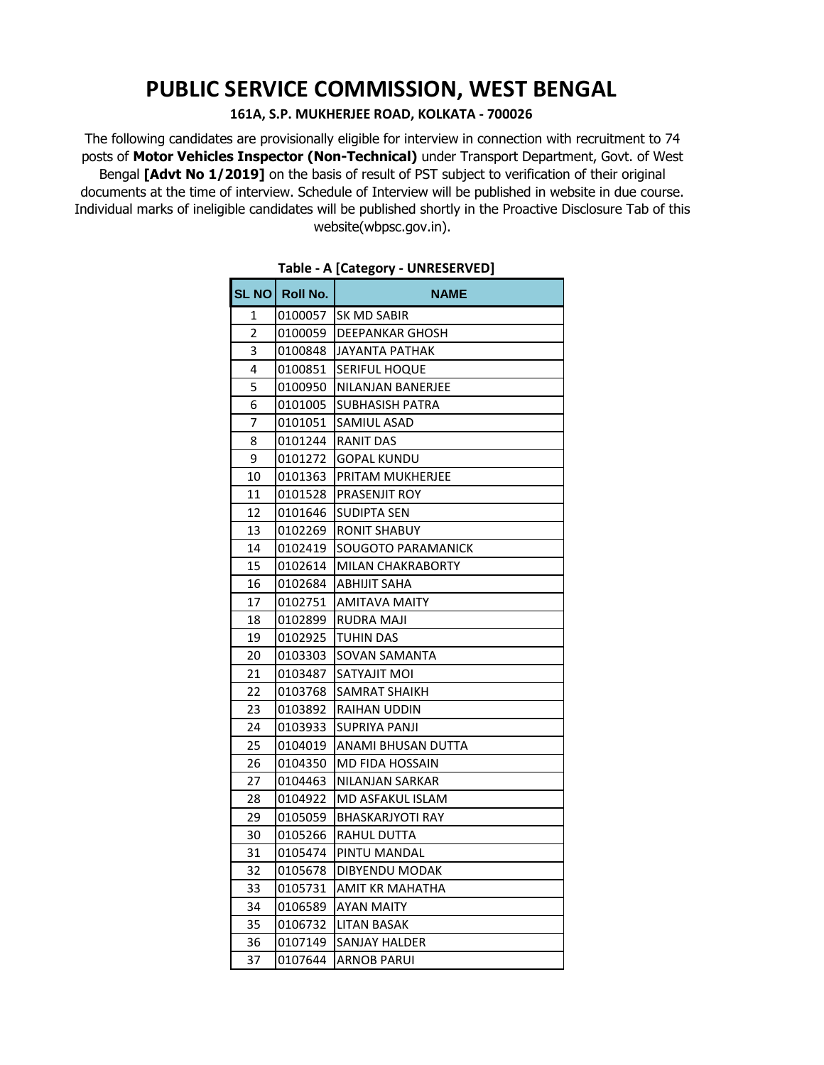# **PUBLIC SERVICE COMMISSION, WEST BENGAL**

#### **161A, S.P. MUKHERJEE ROAD, KOLKATA - 700026**

The following candidates are provisionally eligible for interview in connection with recruitment to 74 posts of **Motor Vehicles Inspector (Non-Technical)** under Transport Department, Govt. of West Bengal **[Advt No 1/2019]** on the basis of result of PST subject to verification of their original documents at the time of interview. Schedule of Interview will be published in website in due course. Individual marks of ineligible candidates will be published shortly in the Proactive Disclosure Tab of this website(wbpsc.gov.in).

|    |                | יו י<br>                 |
|----|----------------|--------------------------|
|    | SL NO Roll No. | <b>NAME</b>              |
| 1  | 0100057        | <b>SK MD SABIR</b>       |
| 2  | 0100059        | <b>DEEPANKAR GHOSH</b>   |
| 3  | 0100848        | <b>JAYANTA PATHAK</b>    |
| 4  | 0100851        | <b>SERIFUL HOQUE</b>     |
| 5  | 0100950        | NILANJAN BANERJEE        |
| 6  | 0101005        | SUBHASISH PATRA          |
| 7  | 0101051        | SAMIUL ASAD              |
| 8  | 0101244        | RANIT DAS                |
| 9  | 0101272        | GOPAL KUNDU              |
| 10 | 0101363        | PRITAM MUKHERJEE         |
| 11 | 0101528        | PRASENJIT ROY            |
| 12 | 0101646        | SUDIPTA SEN              |
| 13 | 0102269        | <b>RONIT SHABUY</b>      |
| 14 | 0102419        | SOUGOTO PARAMANICK       |
| 15 | 0102614        | <b>MILAN CHAKRABORTY</b> |
| 16 | 0102684        | <b>ABHIJIT SAHA</b>      |
| 17 | 0102751        | <b>AMITAVA MAITY</b>     |
| 18 | 0102899        | RUDRA MAJI               |
| 19 | 0102925        | TUHIN DAS                |
| 20 | 0103303        | SOVAN SAMANTA            |
| 21 | 0103487        | SATYAJIT MOI             |
| 22 | 0103768        | SAMRAT SHAIKH            |
| 23 | 0103892        | RAIHAN UDDIN             |
| 24 | 0103933        | SUPRIYA PANJI            |
| 25 | 0104019        | ANAMI BHUSAN DUTTA       |
| 26 | 0104350        | MD FIDA HOSSAIN          |
| 27 | 0104463        | NILANJAN SARKAR          |
| 28 | 0104922        | MD ASFAKUL ISLAM         |
| 29 | 0105059        | <b>BHASKARJYOTI RAY</b>  |
| 30 | 0105266        | RAHUL DUTTA              |
| 31 | 0105474        | PINTU MANDAL             |
| 32 | 0105678        | DIBYENDU MODAK           |
| 33 | 0105731        | AMIT KR MAHATHA          |
| 34 | 0106589        | <b>AYAN MAITY</b>        |
| 35 | 0106732        | LITAN BASAK              |
| 36 | 0107149        | SANJAY HALDER            |
| 37 | 0107644        | <b>ARNOB PARUI</b>       |

#### **Table - A [Category - UNRESERVED]**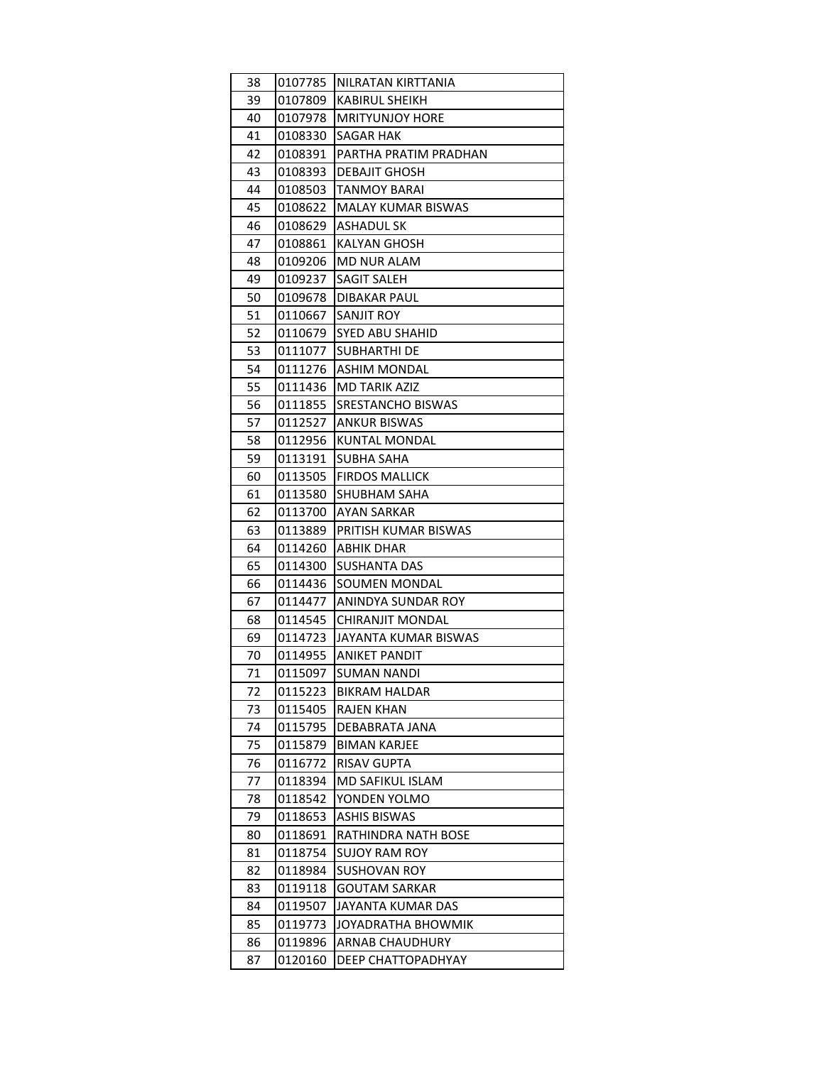| 38 | 0107785 | NILRATAN KIRTTANIA        |
|----|---------|---------------------------|
| 39 | 0107809 | KABIRUL SHEIKH            |
| 40 | 0107978 | <b>MRITYUNJOY HORE</b>    |
| 41 | 0108330 | SAGAR HAK                 |
| 42 | 0108391 | PARTHA PRATIM PRADHAN     |
| 43 | 0108393 | DEBAJIT GHOSH             |
| 44 | 0108503 | <b>TANMOY BARAI</b>       |
| 45 | 0108622 | <b>MALAY KUMAR BISWAS</b> |
| 46 | 0108629 | ASHADUL SK                |
| 47 | 0108861 | <b>KALYAN GHOSH</b>       |
| 48 | 0109206 | MD NUR ALAM               |
| 49 | 0109237 | <b>SAGIT SALEH</b>        |
| 50 | 0109678 | <b>DIBAKAR PAUL</b>       |
| 51 | 0110667 | SANJIT ROY                |
| 52 | 0110679 | <b>SYED ABU SHAHID</b>    |
| 53 | 0111077 | <b>SUBHARTHI DE</b>       |
| 54 | 0111276 | <b>ASHIM MONDAL</b>       |
| 55 | 0111436 | MD TARIK AZIZ             |
| 56 | 0111855 | SRESTANCHO BISWAS         |
| 57 | 0112527 | ANKUR BISWAS              |
| 58 | 0112956 | <b>KUNTAL MONDAL</b>      |
| 59 | 0113191 | <b>SUBHA SAHA</b>         |
| 60 | 0113505 | <b>FIRDOS MALLICK</b>     |
| 61 | 0113580 | SHUBHAM SAHA              |
| 62 | 0113700 | AYAN SARKAR               |
| 63 | 0113889 | PRITISH KUMAR BISWAS      |
| 64 | 0114260 | ABHIK DHAR                |
| 65 | 0114300 | SUSHANTA DAS              |
| 66 | 0114436 | SOUMEN MONDAL             |
| 67 | 0114477 | ANINDYA SUNDAR ROY        |
| 68 | 0114545 | <b>CHIRANJIT MONDAL</b>   |
| 69 | 0114723 | JAYANTA KUMAR BISWAS      |
| 70 | 0114955 | <b>ANIKET PANDIT</b>      |
| 71 | 0115097 | <b>SUMAN NANDI</b>        |
| 72 | 0115223 | <b>BIKRAM HALDAR</b>      |
| 73 | 0115405 | RAJEN KHAN                |
| 74 | 0115795 | DEBABRATA JANA            |
| 75 | 0115879 | <b>BIMAN KARJEE</b>       |
| 76 | 0116772 | <b>RISAV GUPTA</b>        |
| 77 | 0118394 | <b>MD SAFIKUL ISLAM</b>   |
| 78 | 0118542 | YONDEN YOLMO              |
| 79 | 0118653 | ASHIS BISWAS              |
| 80 | 0118691 | RATHINDRA NATH BOSE       |
| 81 | 0118754 | SUJOY RAM ROY             |
| 82 | 0118984 | <b>SUSHOVAN ROY</b>       |
| 83 | 0119118 | <b>GOUTAM SARKAR</b>      |
| 84 | 0119507 | JAYANTA KUMAR DAS         |
| 85 | 0119773 | JOYADRATHA BHOWMIK        |
| 86 | 0119896 | <b>ARNAB CHAUDHURY</b>    |
| 87 | 0120160 | DEEP CHATTOPADHYAY        |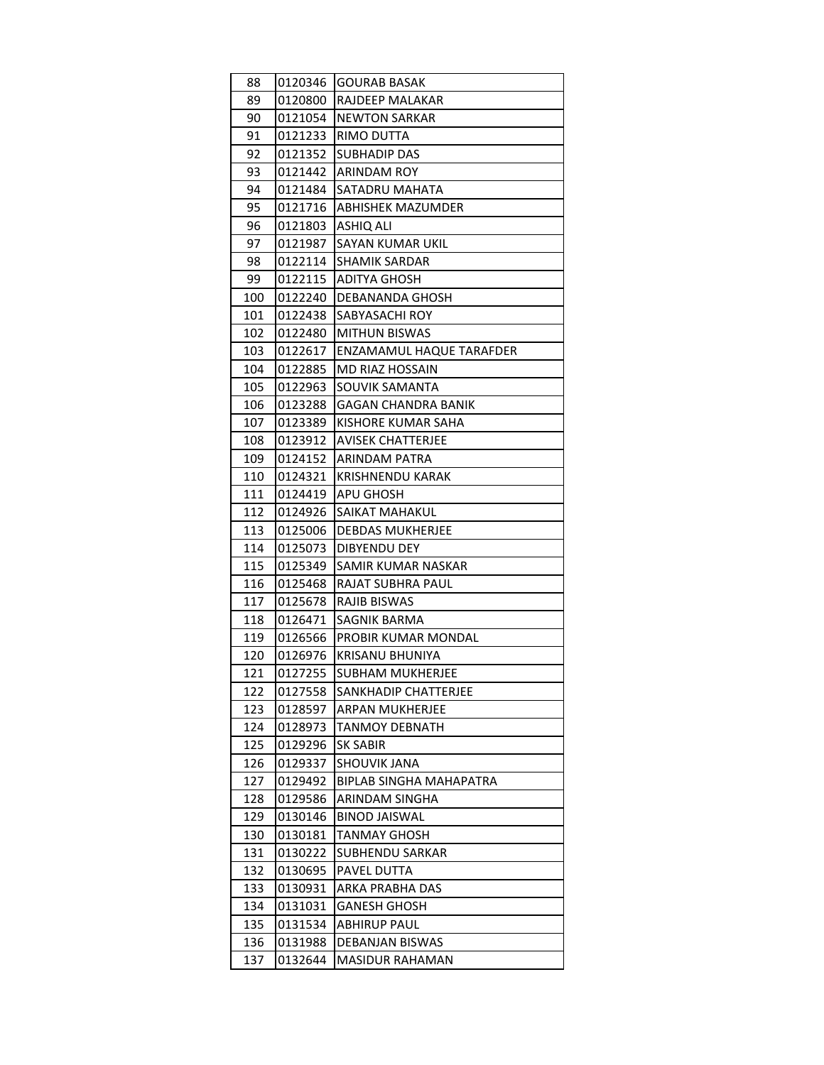| 88  | 0120346 | <b>GOURAB BASAK</b>            |
|-----|---------|--------------------------------|
| 89  | 0120800 | RAJDEEP MALAKAR                |
| 90  | 0121054 | NEWTON SARKAR                  |
| 91  | 0121233 | RIMO DUTTA                     |
| 92  | 0121352 | <b>SUBHADIP DAS</b>            |
| 93  | 0121442 | <b>ARINDAM ROY</b>             |
| 94  | 0121484 | SATADRU MAHATA                 |
| 95  | 0121716 | <b>ABHISHEK MAZUMDER</b>       |
| 96  | 0121803 | ASHIQ ALI                      |
| 97  | 0121987 | SAYAN KUMAR UKIL               |
| 98  | 0122114 | <b>SHAMIK SARDAR</b>           |
| 99  | 0122115 | ADITYA GHOSH                   |
| 100 | 0122240 | <b>DEBANANDA GHOSH</b>         |
| 101 | 0122438 | SABYASACHI ROY                 |
| 102 | 0122480 | MITHUN BISWAS                  |
| 103 | 0122617 | ENZAMAMUL HAQUE TARAFDER       |
| 104 | 0122885 | MD RIAZ HOSSAIN                |
| 105 | 0122963 | SOUVIK SAMANTA                 |
| 106 | 0123288 | GAGAN CHANDRA BANIK            |
| 107 | 0123389 | KISHORE KUMAR SAHA             |
| 108 | 0123912 | AVISEK CHATTERJEE              |
| 109 | 0124152 | ARINDAM PATRA                  |
| 110 | 0124321 | <b>KRISHNENDU KARAK</b>        |
| 111 | 0124419 | APU GHOSH                      |
| 112 | 0124926 | SAIKAT MAHAKUL                 |
| 113 | 0125006 | DEBDAS MUKHERJEE               |
| 114 | 0125073 | <b>DIBYENDU DEY</b>            |
| 115 | 0125349 | SAMIR KUMAR NASKAR             |
| 116 | 0125468 | RAJAT SUBHRA PAUL              |
| 117 | 0125678 | RAJIB BISWAS                   |
| 118 | 0126471 | <b>SAGNIK BARMA</b>            |
| 119 | 0126566 | PROBIR KUMAR MONDAL            |
| 120 | 0126976 | KRISANU BHUNIYA                |
| 121 | 0127255 | <b>SUBHAM MUKHERJEE</b>        |
| 122 | 0127558 | SANKHADIP CHATTERJEE           |
| 123 | 0128597 | <b>ARPAN MUKHERJEE</b>         |
| 124 | 0128973 | <b>TANMOY DEBNATH</b>          |
| 125 | 0129296 | SK SABIR                       |
| 126 | 0129337 | SHOUVIK JANA                   |
| 127 | 0129492 | <b>BIPLAB SINGHA MAHAPATRA</b> |
| 128 | 0129586 | ARINDAM SINGHA                 |
| 129 | 0130146 | <b>BINOD JAISWAL</b>           |
| 130 | 0130181 | TANMAY GHOSH                   |
| 131 | 0130222 | <b>SUBHENDU SARKAR</b>         |
| 132 | 0130695 | PAVEL DUTTA                    |
| 133 | 0130931 | ARKA PRABHA DAS                |
| 134 | 0131031 | <b>GANESH GHOSH</b>            |
| 135 | 0131534 | ABHIRUP PAUL                   |
| 136 | 0131988 | DEBANJAN BISWAS                |
| 137 | 0132644 | <b>MASIDUR RAHAMAN</b>         |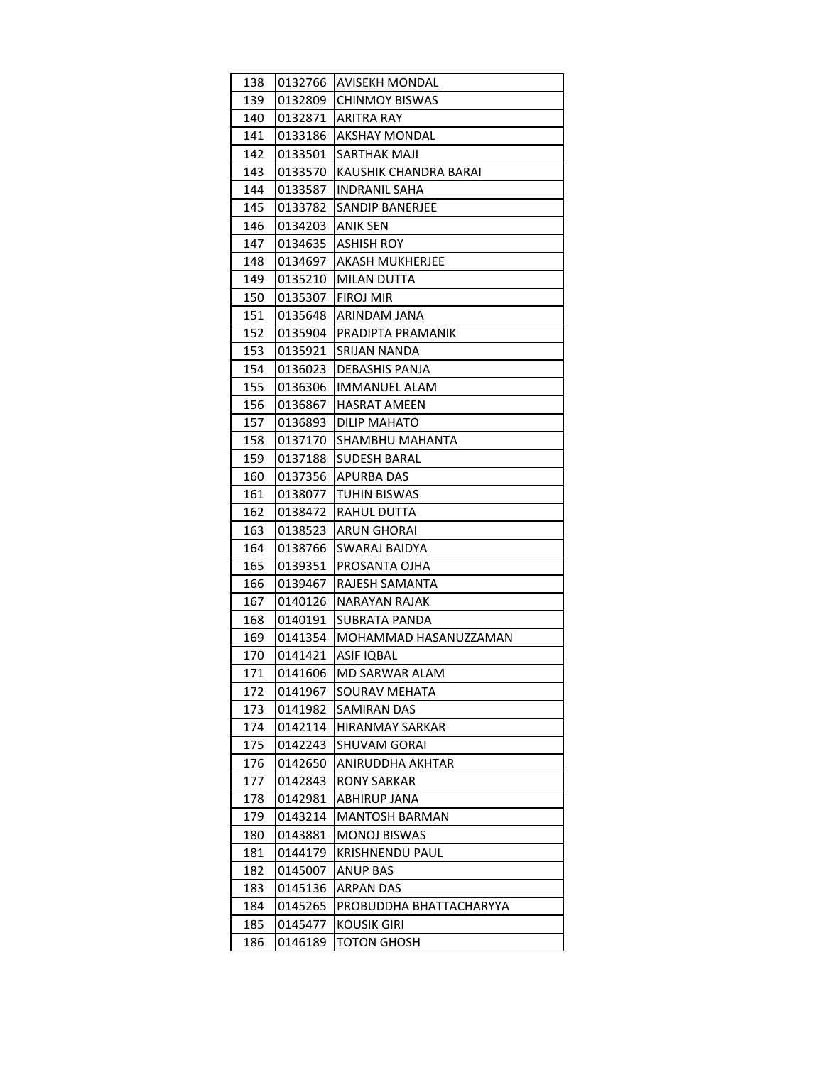| 138 | 0132766 | <b>AVISEKH MONDAL</b>   |
|-----|---------|-------------------------|
| 139 | 0132809 | CHINMOY BISWAS          |
| 140 | 0132871 | ARITRA RAY              |
| 141 | 0133186 | <b>AKSHAY MONDAL</b>    |
| 142 | 0133501 | SARTHAK MAJI            |
| 143 | 0133570 | KAUSHIK CHANDRA BARAI   |
| 144 | 0133587 | <b>INDRANIL SAHA</b>    |
| 145 | 0133782 | SANDIP BANERJEE         |
| 146 | 0134203 | ANIK SEN                |
| 147 | 0134635 | ASHISH ROY              |
| 148 | 0134697 | <b>AKASH MUKHERJEE</b>  |
| 149 | 0135210 | MILAN DUTTA             |
| 150 | 0135307 | <b>FIROJ MIR</b>        |
| 151 | 0135648 | ARINDAM JANA            |
| 152 | 0135904 | PRADIPTA PRAMANIK       |
| 153 | 0135921 | SRIJAN NANDA            |
| 154 | 0136023 | DEBASHIS PANJA          |
| 155 | 0136306 | <b>IMMANUEL ALAM</b>    |
| 156 | 0136867 | <b>HASRAT AMEEN</b>     |
| 157 | 0136893 | DILIP MAHATO            |
| 158 | 0137170 | SHAMBHU MAHANTA         |
| 159 | 0137188 | <b>SUDESH BARAL</b>     |
| 160 | 0137356 | <b>APURBA DAS</b>       |
| 161 | 0138077 | TUHIN BISWAS            |
| 162 | 0138472 | RAHUL DUTTA             |
| 163 | 0138523 | ARUN GHORAI             |
| 164 | 0138766 | SWARAJ BAIDYA           |
| 165 | 0139351 | PROSANTA OJHA           |
| 166 | 0139467 | RAJESH SAMANTA          |
| 167 | 0140126 | NARAYAN RAJAK           |
| 168 | 0140191 | SUBRATA PANDA           |
| 169 | 0141354 | MOHAMMAD HASANUZZAMAN   |
| 170 | 0141421 | ASIF IQBAL              |
| 171 | 0141606 | MD SARWAR ALAM          |
| 172 | 0141967 | SOURAV MEHATA           |
| 173 | 0141982 | SAMIRAN DAS             |
| 174 | 0142114 | HIRANMAY SARKAR         |
| 175 | 0142243 | <b>SHUVAM GORAI</b>     |
| 176 | 0142650 | ANIRUDDHA AKHTAR        |
| 177 | 0142843 | <b>RONY SARKAR</b>      |
| 178 | 0142981 | ABHIRUP JANA            |
| 179 | 0143214 | <b>MANTOSH BARMAN</b>   |
| 180 | 0143881 | <b>MONOJ BISWAS</b>     |
| 181 | 0144179 | <b>KRISHNENDU PAUL</b>  |
| 182 | 0145007 | <b>ANUP BAS</b>         |
| 183 | 0145136 | <b>ARPAN DAS</b>        |
| 184 | 0145265 | PROBUDDHA BHATTACHARYYA |
| 185 | 0145477 | <b>KOUSIK GIRI</b>      |
| 186 | 0146189 | TOTON GHOSH             |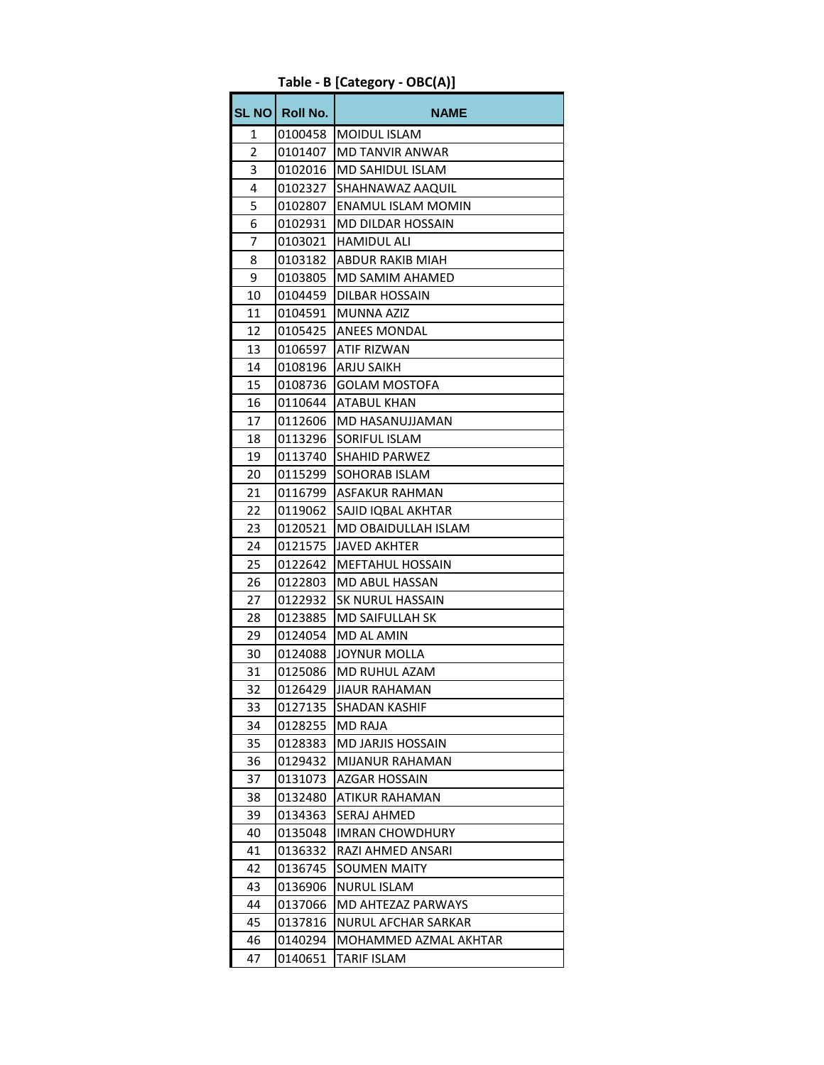| <b>SL NO</b> | Roll No. | <b>NAME</b>               |
|--------------|----------|---------------------------|
| 1            | 0100458  | <b>MOIDUL ISLAM</b>       |
| 2            | 0101407  | MD TANVIR ANWAR           |
| 3            | 0102016  | MD SAHIDUL ISLAM          |
| 4            | 0102327  | SHAHNAWAZ AAQUIL          |
| 5            | 0102807  | <b>ENAMUL ISLAM MOMIN</b> |
| 6            | 0102931  | <b>MD DILDAR HOSSAIN</b>  |
| 7            | 0103021  | <b>HAMIDUL ALI</b>        |
| 8            | 0103182  | ABDUR RAKIB MIAH          |
| 9            | 0103805  | MD SAMIM AHAMED           |
| 10           | 0104459  | <b>DILBAR HOSSAIN</b>     |
| 11           | 0104591  | <b>MUNNA AZIZ</b>         |
| 12           | 0105425  | <b>ANEES MONDAL</b>       |
| 13           | 0106597  | ATIF RIZWAN               |
| 14           | 0108196  | <b>ARJU SAIKH</b>         |
| 15           | 0108736  | <b>GOLAM MOSTOFA</b>      |
| 16           | 0110644  | <b>ATABUL KHAN</b>        |
| 17           | 0112606  | <b>MD HASANUJJAMAN</b>    |
| 18           | 0113296  | SORIFUL ISLAM             |
| 19           | 0113740  | <b>SHAHID PARWEZ</b>      |
| 20           | 0115299  | SOHORAB ISLAM             |
| 21           | 0116799  | <b>ASFAKUR RAHMAN</b>     |
| 22           | 0119062  | SAJID IQBAL AKHTAR        |
| 23           | 0120521  | MD OBAIDULLAH ISLAM       |
| 24           | 0121575  | <b>JAVED AKHTER</b>       |
| 25           | 0122642  | <b>MEFTAHUL HOSSAIN</b>   |
| 26           | 0122803  | MD ABUL HASSAN            |
| 27           | 0122932  | <b>SK NURUL HASSAIN</b>   |
| 28           | 0123885  | <b>MD SAIFULLAH SK</b>    |
| 29           | 0124054  | MD AL AMIN                |
| 30           | 0124088  | <b>JOYNUR MOLLA</b>       |
| 31           | 0125086  | MD RUHUL AZAM             |
| 32           | 0126429  | JIAUR RAHAMAN             |
| 33           | 0127135  | <b>SHADAN KASHIF</b>      |
| 34           | 0128255  | <b>MD RAJA</b>            |
| 35           | 0128383  | MD JARJIS HOSSAIN         |
| 36           | 0129432  | MIJANUR RAHAMAN           |
| 37           | 0131073  | AZGAR HOSSAIN             |
| 38           | 0132480  | ATIKUR RAHAMAN            |
| 39           | 0134363  | SERAJ AHMED               |
| 40           | 0135048  | <b>IMRAN CHOWDHURY</b>    |
| 41           | 0136332  | RAZI AHMED ANSARI         |
| 42           | 0136745  | <b>SOUMEN MAITY</b>       |
| 43           | 0136906  | NURUL ISLAM               |
| 44           | 0137066  | MD AHTEZAZ PARWAYS        |
| 45           | 0137816  | NURUL AFCHAR SARKAR       |
| 46           | 0140294  | MOHAMMED AZMAL AKHTAR     |
| 47           | 0140651  | <b>TARIF ISLAM</b>        |

**Table - B [Category - OBC(A)]**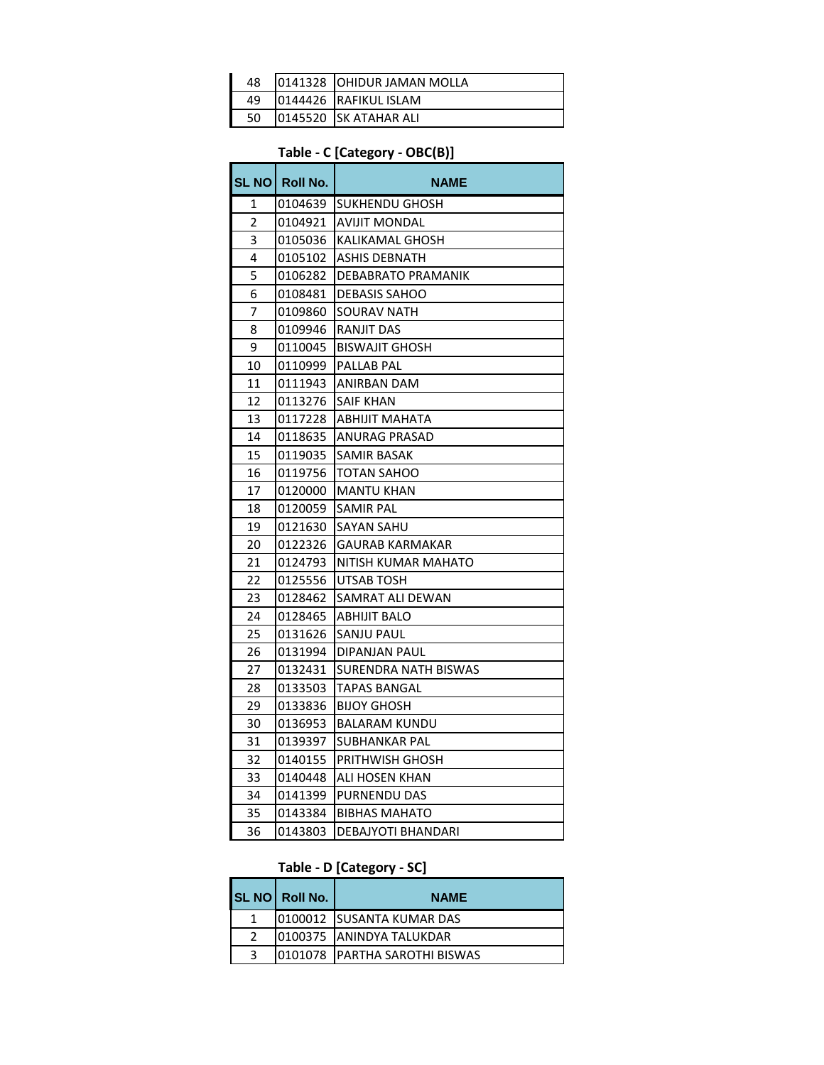| 48 | 10141328 TOHIDUR JAMAN MOLLA |
|----|------------------------------|
| 49 | 0144426 RAFIKUL ISLAM        |
| 50 | 10145520 ISK ATAHAR ALI      |

# **Table - C [Category - OBC(B)]**

|    | SL NO Roll No. | NAME                      |
|----|----------------|---------------------------|
| 1  | 0104639        | SUKHENDU GHOSH            |
| 2  | 0104921        | <b>AVIJIT MONDAL</b>      |
| 3  | 0105036        | KALIKAMAL GHOSH           |
| 4  | 0105102        | ASHIS DEBNATH             |
| 5  | 0106282        | DEBABRATO PRAMANIK        |
| 6  | 0108481        | <b>DEBASIS SAHOO</b>      |
| 7  | 0109860        | <b>SOURAV NATH</b>        |
| 8  | 0109946        | RANJIT DAS                |
| 9  | 0110045        | <b>BISWAJIT GHOSH</b>     |
| 10 | 0110999        | <b>PALLAB PAL</b>         |
| 11 | 0111943        | ANIRBAN DAM               |
| 12 | 0113276        | SAIF KHAN                 |
| 13 | 0117228        | ABHIJIT MAHATA            |
| 14 | 0118635        | ANURAG PRASAD             |
| 15 | 0119035        | SAMIR BASAK               |
| 16 | 0119756        | TOTAN SAHOO               |
| 17 | 0120000        | <b>MANTU KHAN</b>         |
| 18 | 0120059        | SAMIR PAL                 |
| 19 | 0121630        | <b>SAYAN SAHU</b>         |
| 20 | 0122326        | <b>GAURAB KARMAKAR</b>    |
| 21 | 0124793        | NITISH KUMAR MAHATO       |
| 22 | 0125556        | UTSAB TOSH                |
| 23 | 0128462        | SAMRAT ALI DEWAN          |
| 24 | 0128465        | ABHIJIT BALO              |
| 25 | 0131626        | SANJU PAUL                |
| 26 | 0131994        | DIPANJAN PAUL             |
| 27 | 0132431        | SURENDRA NATH BISWAS      |
| 28 | 0133503        | <b>TAPAS BANGAL</b>       |
| 29 | 0133836        | <b>BIJOY GHOSH</b>        |
| 30 | 0136953        | <b>BALARAM KUNDU</b>      |
| 31 | 0139397        | SUBHANKAR PAL             |
| 32 | 0140155        | <b>PRITHWISH GHOSH</b>    |
| 33 | 0140448        | ALI HOSEN KHAN            |
| 34 | 0141399        | PURNENDU DAS              |
| 35 | 0143384        | <b>BIBHAS MAHATO</b>      |
| 36 | 0143803        | <b>DEBAJYOTI BHANDARI</b> |

#### **Table - D [Category - SC]**

|              | SL NO Roll No. | <b>NAME</b>                     |
|--------------|----------------|---------------------------------|
|              |                | 10100012 ISUSANTA KUMAR DAS     |
|              |                | 10100375 ANINDYA TALUKDAR       |
| $\mathbf{P}$ |                | 0101078   PARTHA SAROTHI BISWAS |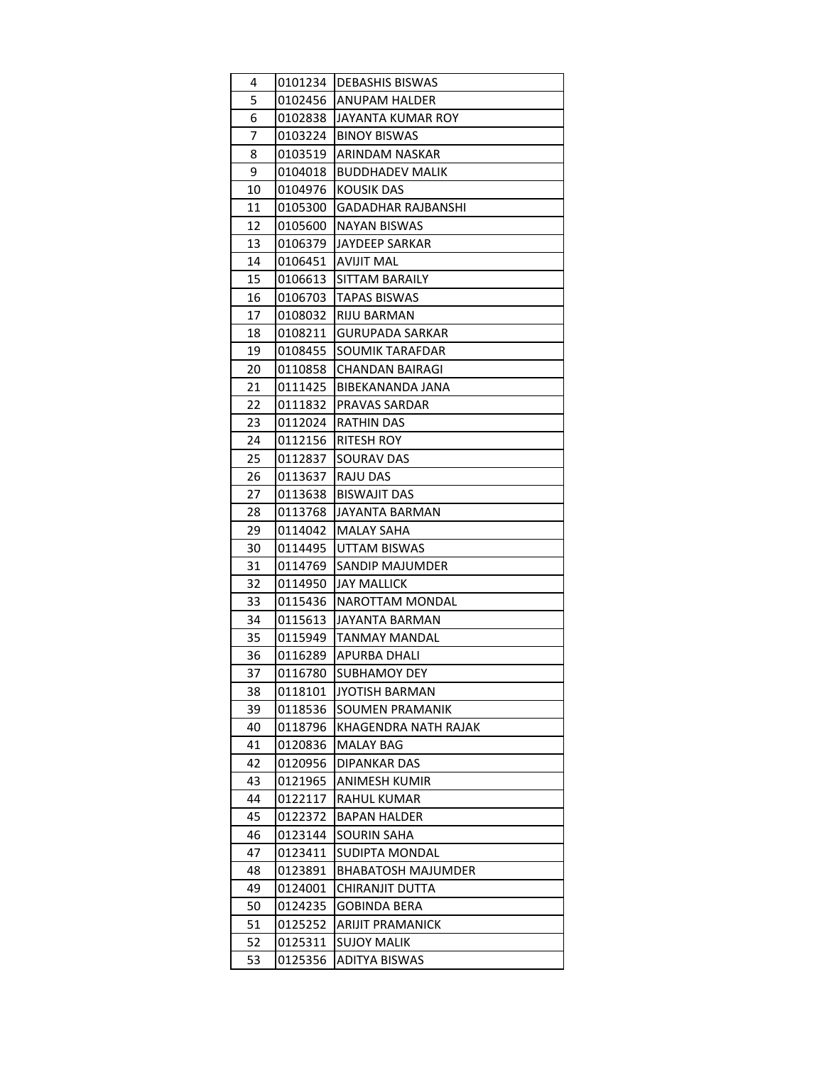| 4  | 0101234 | DEBASHIS BISWAS           |
|----|---------|---------------------------|
| 5  | 0102456 | ANUPAM HALDER             |
| 6  | 0102838 | JAYANTA KUMAR ROY         |
| 7  | 0103224 | <b>BINOY BISWAS</b>       |
| 8  | 0103519 | ARINDAM NASKAR            |
| 9  | 0104018 | <b>BUDDHADEV MALIK</b>    |
| 10 | 0104976 | <b>KOUSIK DAS</b>         |
| 11 | 0105300 | <b>GADADHAR RAJBANSHI</b> |
| 12 | 0105600 | <b>NAYAN BISWAS</b>       |
| 13 | 0106379 | JAYDEEP SARKAR            |
| 14 | 0106451 | AVIJIT MAL                |
| 15 | 0106613 | SITTAM BARAILY            |
| 16 | 0106703 | <b>TAPAS BISWAS</b>       |
| 17 | 0108032 | RIJU BARMAN               |
| 18 | 0108211 | <b>GURUPADA SARKAR</b>    |
| 19 | 0108455 | SOUMIK TARAFDAR           |
| 20 | 0110858 | CHANDAN BAIRAGI           |
| 21 | 0111425 | BIBEKANANDA JANA          |
| 22 | 0111832 | PRAVAS SARDAR             |
| 23 | 0112024 | <b>RATHIN DAS</b>         |
| 24 | 0112156 | RITESH ROY                |
| 25 | 0112837 | SOURAV DAS                |
| 26 | 0113637 | <b>RAJU DAS</b>           |
| 27 | 0113638 | <b>BISWAJIT DAS</b>       |
| 28 | 0113768 | JAYANTA BARMAN            |
| 29 | 0114042 | <b>MALAY SAHA</b>         |
| 30 | 0114495 | UTTAM BISWAS              |
| 31 | 0114769 | SANDIP MAJUMDER           |
| 32 | 0114950 | JAY MALLICK               |
| 33 | 0115436 | NAROTTAM MONDAL           |
| 34 | 0115613 | JAYANTA BARMAN            |
| 35 | 0115949 | TANMAY MANDAL             |
| 36 | 0116289 | APURBA DHALI              |
| 37 | 0116780 | <b>SUBHAMOY DEY</b>       |
| 38 | 0118101 | <b>JYOTISH BARMAN</b>     |
| 39 | 0118536 | SOUMEN PRAMANIK           |
| 40 | 0118796 | KHAGENDRA NATH RAJAK      |
| 41 | 0120836 | <b>MALAY BAG</b>          |
| 42 | 0120956 | DIPANKAR DAS              |
| 43 | 0121965 | ANIMESH KUMIR             |
| 44 | 0122117 | <b>RAHUL KUMAR</b>        |
| 45 | 0122372 | <b>BAPAN HALDER</b>       |
| 46 | 0123144 | SOURIN SAHA               |
| 47 | 0123411 | SUDIPTA MONDAL            |
| 48 | 0123891 | <b>BHABATOSH MAJUMDER</b> |
| 49 | 0124001 | CHIRANJIT DUTTA           |
| 50 | 0124235 | <b>GOBINDA BERA</b>       |
| 51 | 0125252 | ARIJIT PRAMANICK          |
| 52 | 0125311 | <b>SUJOY MALIK</b>        |
| 53 | 0125356 | <b>ADITYA BISWAS</b>      |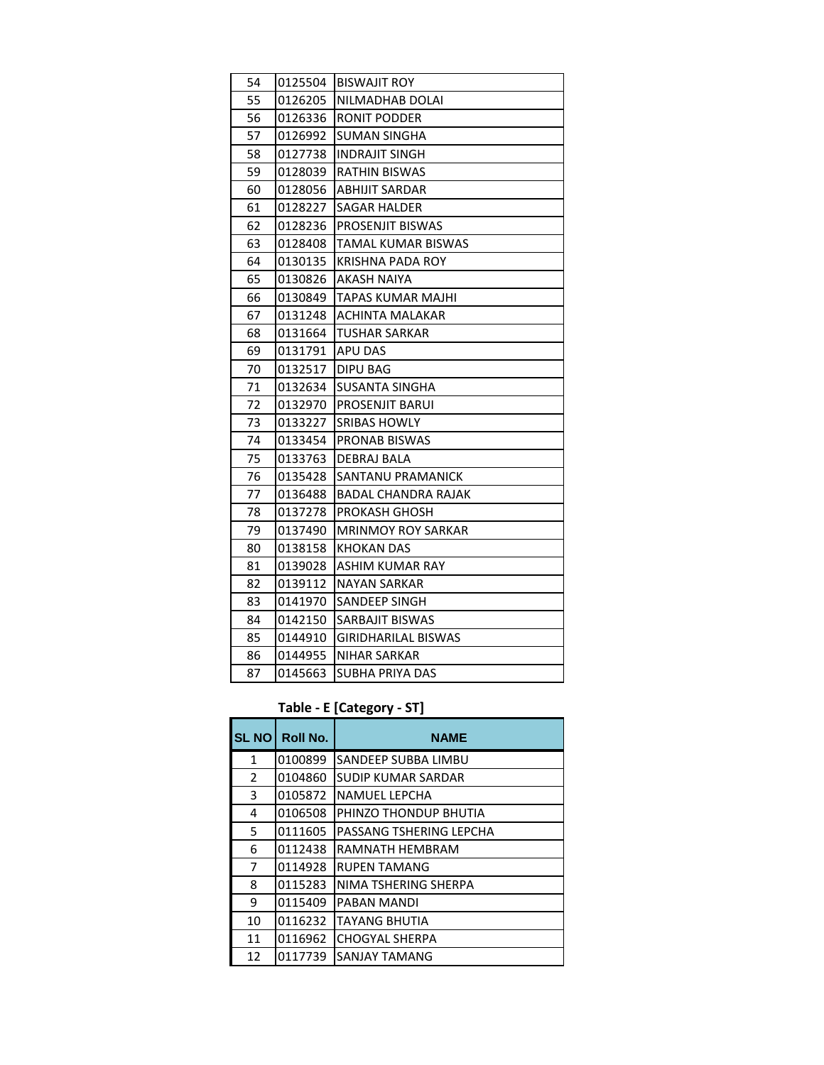| 54 | 0125504 | <b>BISWAJIT ROY</b>       |
|----|---------|---------------------------|
| 55 | 0126205 | NILMADHAB DOLAI           |
| 56 | 0126336 | RONIT PODDER              |
| 57 | 0126992 | <b>SUMAN SINGHA</b>       |
| 58 | 0127738 | <b>INDRAJIT SINGH</b>     |
| 59 | 0128039 | RATHIN BISWAS             |
| 60 | 0128056 | <b>ABHIJIT SARDAR</b>     |
| 61 | 0128227 | SAGAR HALDER              |
| 62 | 0128236 | <b>PROSENJIT BISWAS</b>   |
| 63 | 0128408 | TAMAL KUMAR BISWAS        |
| 64 | 0130135 | KRISHNA PADA ROY          |
| 65 | 0130826 | AKASH NAIYA               |
| 66 | 0130849 | TAPAS KUMAR MAJHI         |
| 67 | 0131248 | ACHINTA MALAKAR           |
| 68 | 0131664 | TUSHAR SARKAR             |
| 69 | 0131791 | APU DAS                   |
| 70 | 0132517 | DIPU BAG                  |
| 71 | 0132634 | SUSANTA SINGHA            |
| 72 | 0132970 | PROSENJIT BARUI           |
| 73 | 0133227 | <b>SRIBAS HOWLY</b>       |
| 74 | 0133454 | PRONAB BISWAS             |
| 75 | 0133763 | DEBRAJ BALA               |
| 76 | 0135428 | SANTANU PRAMANICK         |
| 77 | 0136488 | BADAL CHANDRA RAJAK       |
| 78 | 0137278 | PROKASH GHOSH             |
| 79 | 0137490 | <b>MRINMOY ROY SARKAR</b> |
| 80 | 0138158 | KHOKAN DAS                |
| 81 | 0139028 | ASHIM KUMAR RAY           |
| 82 | 0139112 | NAYAN SARKAR              |
| 83 | 0141970 | <b>SANDEEP SINGH</b>      |
| 84 | 0142150 | SARBAJIT BISWAS           |
| 85 | 0144910 | GIRIDHARILAL BISWAS       |
| 86 | 0144955 | NIHAR SARKAR              |
| 87 | 0145663 | SUBHA PRIYA DAS           |

#### **Table - E [Category - ST]**

| <b>SL NO</b> | <b>Roll No.</b> | <b>NAME</b>             |
|--------------|-----------------|-------------------------|
| 1            | 0100899         | SANDEEP SUBBA LIMBU     |
| 2            | 0104860         | SUDIP KUMAR SARDAR      |
| 3            | 0105872         | <b>NAMUEL LEPCHA</b>    |
| 4            | 0106508         | PHINZO THONDUP BHUTIA   |
| 5            | 0111605         | PASSANG TSHERING LEPCHA |
| 6            | 0112438         | RAMNATH HEMBRAM         |
| 7            | 0114928         | <b>RUPEN TAMANG</b>     |
| 8            | 0115283         | NIMA TSHERING SHERPA    |
| 9            | 0115409         | PABAN MANDI             |
| 10           | 0116232         | <b>TAYANG BHUTIA</b>    |
| 11           | 0116962         | <b>CHOGYAL SHERPA</b>   |
| 12           | 0117739         | <b>SANJAY TAMANG</b>    |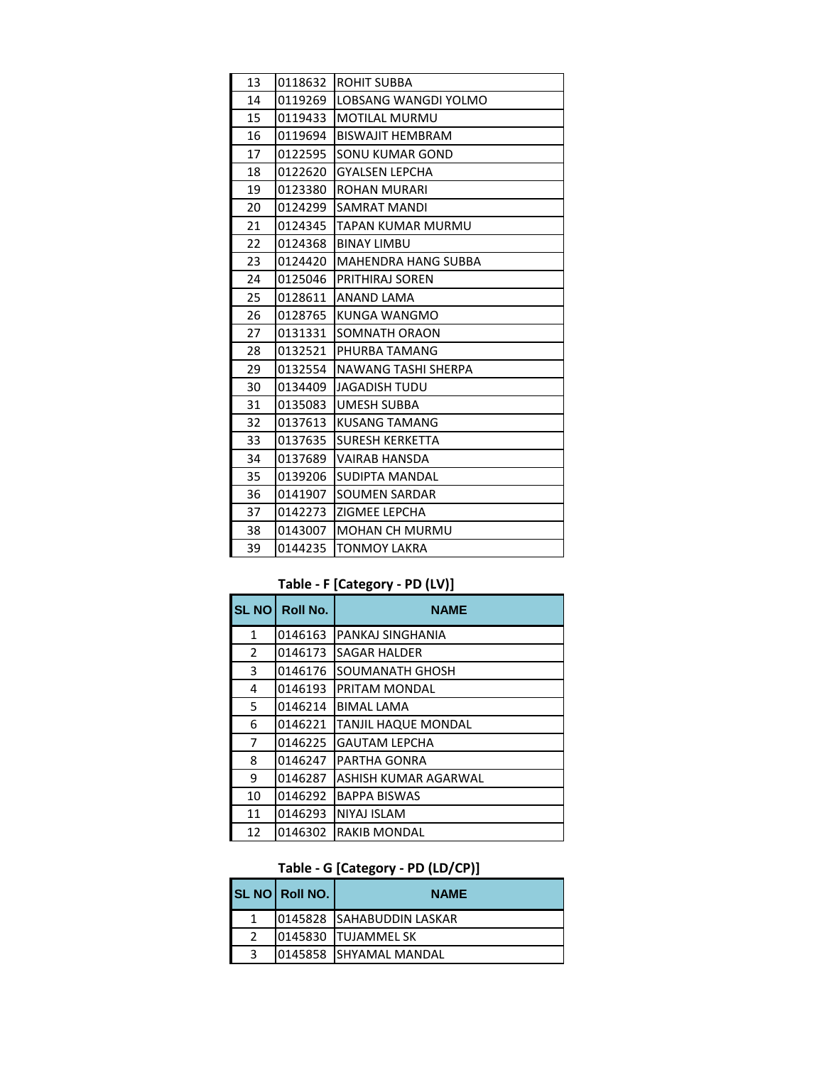| 13 | 0118632 | <b>ROHIT SUBBA</b>         |
|----|---------|----------------------------|
| 14 | 0119269 | LOBSANG WANGDI YOLMO       |
| 15 | 0119433 | <b>MOTILAL MURMU</b>       |
| 16 | 0119694 | <b>BISWAJIT HEMBRAM</b>    |
| 17 | 0122595 | SONU KUMAR GOND            |
| 18 | 0122620 | <b>GYALSEN LEPCHA</b>      |
| 19 | 0123380 | <b>ROHAN MURARI</b>        |
| 20 | 0124299 | <b>SAMRAT MANDI</b>        |
| 21 | 0124345 | TAPAN KUMAR MURMU          |
| 22 | 0124368 | <b>BINAY LIMBU</b>         |
| 23 | 0124420 | <b>MAHENDRA HANG SUBBA</b> |
| 24 | 0125046 | PRITHIRAJ SOREN            |
| 25 | 0128611 | <b>ANAND LAMA</b>          |
| 26 | 0128765 | KUNGA WANGMO               |
| 27 | 0131331 | SOMNATH ORAON              |
| 28 | 0132521 | PHURBA TAMANG              |
| 29 | 0132554 | NAWANG TASHI SHERPA        |
| 30 | 0134409 | <b>JAGADISH TUDU</b>       |
| 31 | 0135083 | <b>UMESH SUBBA</b>         |
| 32 | 0137613 | <b>KUSANG TAMANG</b>       |
| 33 | 0137635 | <b>SURESH KERKETTA</b>     |
| 34 | 0137689 | <b>VAIRAB HANSDA</b>       |
| 35 | 0139206 | SUDIPTA MANDAL             |
| 36 | 0141907 | <b>SOUMEN SARDAR</b>       |
| 37 | 0142273 | ZIGMEE LEPCHA              |
| 38 | 0143007 | <b>MOHAN CH MURMU</b>      |
| 39 | 0144235 | <b>TONMOY LAKRA</b>        |

### **Table - F [Category - PD (LV)]**

| <b>SL NO</b> | <b>Roll No.</b> | <b>NAME</b>                |
|--------------|-----------------|----------------------------|
| 1            | 0146163         | PANKAJ SINGHANIA           |
| 2            | 0146173         | <b>SAGAR HALDER</b>        |
| 3            | 0146176         | SOUMANATH GHOSH            |
| 4            | 0146193         | PRITAM MONDAL              |
| 5.           | 0146214         | <b>BIMAL LAMA</b>          |
| 6            | 0146221         | <b>TANJIL HAQUE MONDAL</b> |
| 7            | 0146225         | <b>GAUTAM LEPCHA</b>       |
| 8            | 0146247         | PARTHA GONRA               |
| 9            | 0146287         | ASHISH KUMAR AGARWAL       |
| 10           | 0146292         | <b>BAPPA BISWAS</b>        |
| 11           | 0146293         | <b>NIYAJ ISLAM</b>         |
| 12           | 0146302         | <b>RAKIB MONDAL</b>        |

## **Table - G [Category - PD (LD/CP)]**

|   | SL NO Roll NO. | <b>NAME</b>                |
|---|----------------|----------------------------|
|   |                | 10145828 SAHABUDDIN LASKAR |
|   |                | 10145830 ITUJAMMEL SK      |
| 2 |                | 10145858 ISHYAMAL MANDAL   |